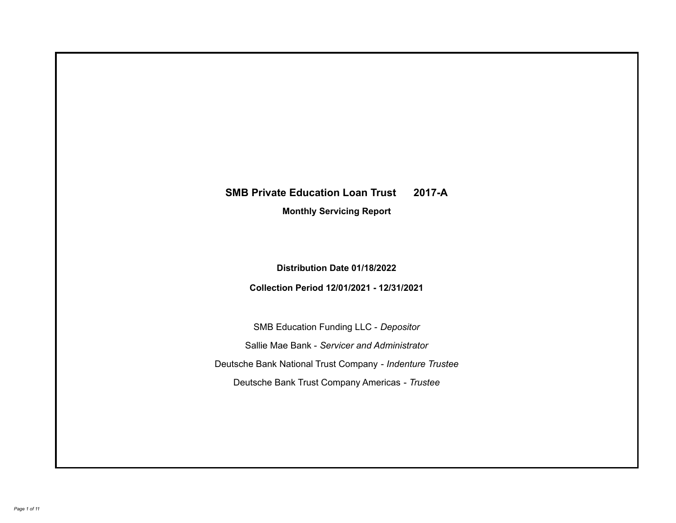# **SMB Private Education Loan Trust 2017-A**

**Monthly Servicing Report**

**Distribution Date 01/18/2022**

**Collection Period 12/01/2021 - 12/31/2021**

SMB Education Funding LLC - *Depositor* Sallie Mae Bank - *Servicer and Administrator* Deutsche Bank National Trust Company - *Indenture Trustee* Deutsche Bank Trust Company Americas - *Trustee*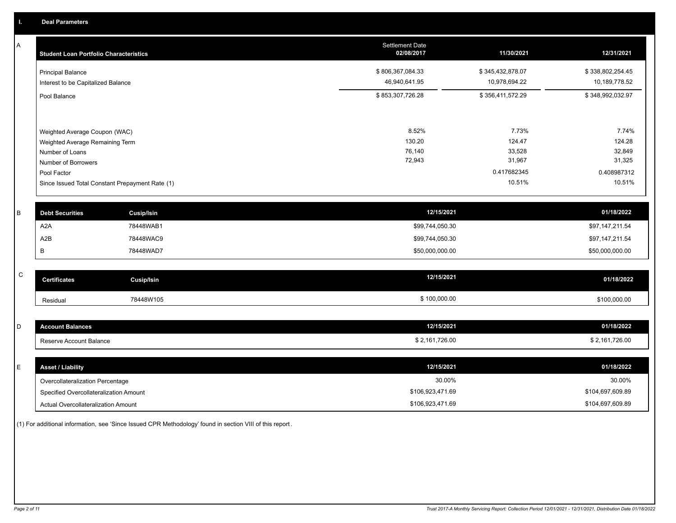A

| Α         | <b>Student Loan Portfolio Characteristics</b>      | <b>Settlement Date</b><br>02/08/2017 | 11/30/2021       | 12/31/2021       |
|-----------|----------------------------------------------------|--------------------------------------|------------------|------------------|
|           | <b>Principal Balance</b>                           | \$806,367,084.33                     | \$345,432,878.07 | \$338,802,254.45 |
|           | Interest to be Capitalized Balance                 | 46,940,641.95                        | 10,978,694.22    | 10,189,778.52    |
|           | Pool Balance                                       | \$853,307,726.28                     | \$356,411,572.29 | \$348,992,032.97 |
|           |                                                    |                                      |                  |                  |
|           | Weighted Average Coupon (WAC)                      | 8.52%<br>130.20                      | 7.73%<br>124.47  | 7.74%<br>124.28  |
|           | Weighted Average Remaining Term<br>Number of Loans | 76,140                               | 33,528           | 32,849           |
|           | Number of Borrowers                                | 72,943                               | 31,967           | 31,325           |
|           | Pool Factor                                        |                                      | 0.417682345      | 0.408987312      |
|           | Since Issued Total Constant Prepayment Rate (1)    |                                      | 10.51%           | 10.51%           |
| B         | <b>Debt Securities</b><br><b>Cusip/Isin</b>        | 12/15/2021                           |                  | 01/18/2022       |
|           | A <sub>2</sub> A<br>78448WAB1                      | \$99,744,050.30                      |                  | \$97,147,211.54  |
|           | A <sub>2</sub> B<br>78448WAC9                      | \$99,744,050.30                      |                  | \$97,147,211.54  |
|           | В<br>78448WAD7                                     | \$50,000,000.00                      |                  | \$50,000,000.00  |
| ${\bf C}$ | <b>Certificates</b><br><b>Cusip/Isin</b>           | 12/15/2021                           |                  | 01/18/2022       |
|           |                                                    |                                      |                  |                  |
|           | 78448W105<br>Residual                              | \$100,000.00                         |                  | \$100,000.00     |
| D         | <b>Account Balances</b>                            | 12/15/2021                           |                  | 01/18/2022       |
|           | Reserve Account Balance                            | \$2,161,726.00                       |                  | \$2,161,726.00   |
|           |                                                    |                                      |                  |                  |
| E         | <b>Asset / Liability</b>                           | 12/15/2021                           |                  | 01/18/2022       |
|           | Overcollateralization Percentage                   | 30.00%                               |                  | 30.00%           |
|           | Specified Overcollateralization Amount             | \$106,923,471.69                     |                  | \$104,697,609.89 |
|           | Actual Overcollateralization Amount                | \$106,923,471.69                     |                  | \$104,697,609.89 |

(1) For additional information, see 'Since Issued CPR Methodology' found in section VIII of this report .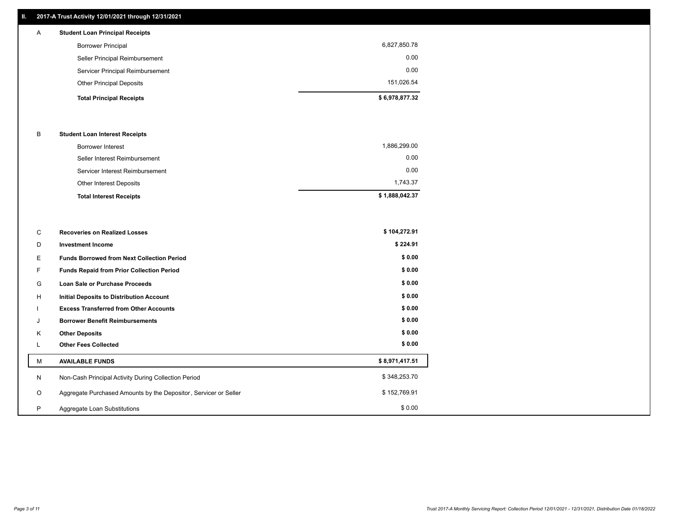## **II. 2017-A Trust Activity 12/01/2021 through 12/31/2021**

| $\mathsf{A}$ | <b>Student Loan Principal Receipts</b> |                |
|--------------|----------------------------------------|----------------|
|              | <b>Borrower Principal</b>              | 6,827,850.78   |
|              | Seller Principal Reimbursement         | 0.00           |
|              | Servicer Principal Reimbursement       | 0.00           |
|              | <b>Other Principal Deposits</b>        | 151,026.54     |
|              | <b>Total Principal Receipts</b>        | \$6,978,877.32 |

#### B **Student Loan Interest Receipts**

| <b>Total Interest Receipts</b>  | \$1,888,042.37 |
|---------------------------------|----------------|
| Other Interest Deposits         | 1.743.37       |
| Servicer Interest Reimbursement | 0.00           |
| Seller Interest Reimbursement   | 0.00           |
| Borrower Interest               | 1,886,299.00   |

| C       | <b>Recoveries on Realized Losses</b>                             | \$104,272.91   |
|---------|------------------------------------------------------------------|----------------|
| D       | <b>Investment Income</b>                                         | \$224.91       |
| Ε.      | <b>Funds Borrowed from Next Collection Period</b>                | \$0.00         |
| F.      | <b>Funds Repaid from Prior Collection Period</b>                 | \$0.00         |
| G       | Loan Sale or Purchase Proceeds                                   | \$0.00         |
| H       | Initial Deposits to Distribution Account                         | \$0.00         |
|         | <b>Excess Transferred from Other Accounts</b>                    | \$0.00         |
| J       | <b>Borrower Benefit Reimbursements</b>                           | \$0.00         |
| K       | <b>Other Deposits</b>                                            | \$0.00         |
|         | <b>Other Fees Collected</b>                                      | \$0.00         |
| М       | <b>AVAILABLE FUNDS</b>                                           | \$8,971,417.51 |
| N       | Non-Cash Principal Activity During Collection Period             | \$348,253.70   |
| $\circ$ | Aggregate Purchased Amounts by the Depositor, Servicer or Seller | \$152,769.91   |
| P       | Aggregate Loan Substitutions                                     | \$0.00         |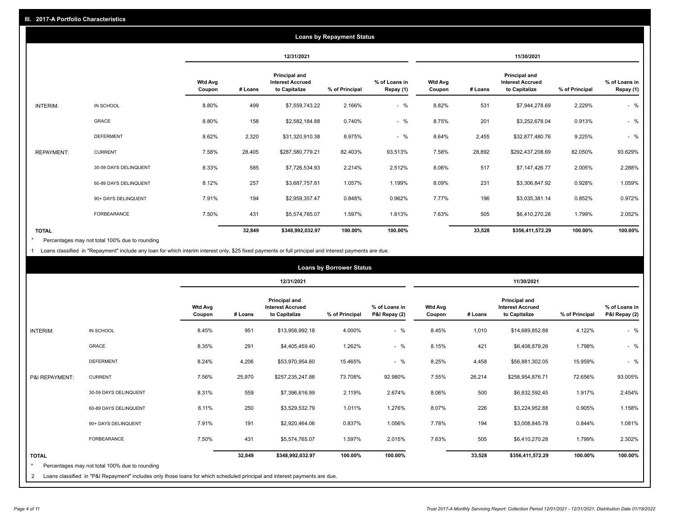| <b>Loans by Repayment Status</b> |                       |                          |            |                                                           |                |                            |                          |         |                                                           |                |                            |
|----------------------------------|-----------------------|--------------------------|------------|-----------------------------------------------------------|----------------|----------------------------|--------------------------|---------|-----------------------------------------------------------|----------------|----------------------------|
|                                  |                       |                          | 12/31/2021 |                                                           |                | 11/30/2021                 |                          |         |                                                           |                |                            |
|                                  |                       | <b>Wtd Avg</b><br>Coupon | # Loans    | Principal and<br><b>Interest Accrued</b><br>to Capitalize | % of Principal | % of Loans in<br>Repay (1) | <b>Wtd Avg</b><br>Coupon | # Loans | Principal and<br><b>Interest Accrued</b><br>to Capitalize | % of Principal | % of Loans in<br>Repay (1) |
| INTERIM:                         | IN SCHOOL             | 8.80%                    | 499        | \$7,559,743.22                                            | 2.166%         | $-$ %                      | 8.82%                    | 531     | \$7,944,278.69                                            | 2.229%         | $-$ %                      |
|                                  | GRACE                 | 8.80%                    | 158        | \$2,582,184.88                                            | 0.740%         | $-$ %                      | 8.75%                    | 201     | \$3,252,678.04                                            | 0.913%         | $-$ %                      |
|                                  | <b>DEFERMENT</b>      | 8.62%                    | 2,320      | \$31,320,910.38                                           | 8.975%         | $-$ %                      | 8.64%                    | 2,455   | \$32,877,480.76                                           | 9.225%         | $-$ %                      |
| <b>REPAYMENT:</b>                | <b>CURRENT</b>        | 7.58%                    | 28,405     | \$287,580,779.21                                          | 82.403%        | 93.513%                    | 7.58%                    | 28,892  | \$292,437,208.69                                          | 82.050%        | 93.629%                    |
|                                  | 30-59 DAYS DELINQUENT | 8.33%                    | 585        | \$7,726,534.93                                            | 2.214%         | 2.512%                     | 8.06%                    | 517     | \$7,147,426.77                                            | 2.005%         | 2.288%                     |
|                                  | 60-89 DAYS DELINQUENT | 8.12%                    | 257        | \$3,687,757.81                                            | 1.057%         | 1.199%                     | 8.09%                    | 231     | \$3,306,847.92                                            | 0.928%         | 1.059%                     |
|                                  | 90+ DAYS DELINQUENT   | 7.91%                    | 194        | \$2,959,357.47                                            | 0.848%         | 0.962%                     | 7.77%                    | 196     | \$3,035,381.14                                            | 0.852%         | 0.972%                     |
|                                  | <b>FORBEARANCE</b>    | 7.50%                    | 431        | \$5,574,765.07                                            | 1.597%         | 1.813%                     | 7.63%                    | 505     | \$6,410,270.28                                            | 1.799%         | 2.052%                     |
| <b>TOTAL</b>                     |                       |                          | 32,849     | \$348,992,032.97                                          | 100.00%        | 100.00%                    |                          | 33,528  | \$356,411,572.29                                          | 100.00%        | 100.00%                    |

Percentages may not total 100% due to rounding \*

1 Loans classified in "Repayment" include any loan for which interim interest only, \$25 fixed payments or full principal and interest payments are due.

| <b>Loans by Borrower Status</b> |                                                                                                                                                                              |                          |         |                                                           |                |                                |                          |         |                                                           |                |                                |
|---------------------------------|------------------------------------------------------------------------------------------------------------------------------------------------------------------------------|--------------------------|---------|-----------------------------------------------------------|----------------|--------------------------------|--------------------------|---------|-----------------------------------------------------------|----------------|--------------------------------|
|                                 |                                                                                                                                                                              |                          |         | 12/31/2021                                                |                |                                | 11/30/2021               |         |                                                           |                |                                |
|                                 |                                                                                                                                                                              | <b>Wtd Avg</b><br>Coupon | # Loans | Principal and<br><b>Interest Accrued</b><br>to Capitalize | % of Principal | % of Loans in<br>P&I Repay (2) | <b>Wtd Avg</b><br>Coupon | # Loans | Principal and<br><b>Interest Accrued</b><br>to Capitalize | % of Principal | % of Loans in<br>P&I Repay (2) |
| <b>INTERIM:</b>                 | IN SCHOOL                                                                                                                                                                    | 8.45%                    | 951     | \$13,958,992.18                                           | 4.000%         | $-$ %                          | 8.45%                    | 1,010   | \$14,689,852.88                                           | 4.122%         | $-$ %                          |
|                                 | <b>GRACE</b>                                                                                                                                                                 | 8.35%                    | 291     | \$4,405,459.40                                            | 1.262%         | $-$ %                          | 8.15%                    | 421     | \$6,408,879.26                                            | 1.798%         | $-$ %                          |
|                                 | <b>DEFERMENT</b>                                                                                                                                                             | 8.24%                    | 4,206   | \$53,970,954.60                                           | 15.465%        | $-$ %                          | 8.25%                    | 4,458   | \$56,881,302.05                                           | 15.959%        | $-$ %                          |
| P&I REPAYMENT:                  | <b>CURRENT</b>                                                                                                                                                               | 7.56%                    | 25,970  | \$257,235,247.88                                          | 73.708%        | 92.980%                        | 7.55%                    | 26,214  | \$258,954,876.71                                          | 72.656%        | 93.005%                        |
|                                 | 30-59 DAYS DELINQUENT                                                                                                                                                        | 8.31%                    | 559     | \$7,396,616.99                                            | 2.119%         | 2.674%                         | 8.06%                    | 500     | \$6,832,592.45                                            | 1.917%         | 2.454%                         |
|                                 | 60-89 DAYS DELINQUENT                                                                                                                                                        | 8.11%                    | 250     | \$3,529,532.79                                            | 1.011%         | 1.276%                         | 8.07%                    | 226     | \$3,224,952.88                                            | 0.905%         | 1.158%                         |
|                                 | 90+ DAYS DELINQUENT                                                                                                                                                          | 7.91%                    | 191     | \$2,920,464.06                                            | 0.837%         | 1.056%                         | 7.78%                    | 194     | \$3,008,845.78                                            | 0.844%         | 1.081%                         |
|                                 | <b>FORBEARANCE</b>                                                                                                                                                           | 7.50%                    | 431     | \$5,574,765.07                                            | 1.597%         | 2.015%                         | 7.63%                    | 505     | \$6,410,270.28                                            | 1.799%         | 2.302%                         |
| <b>TOTAL</b><br>$\star$<br>2    | Percentages may not total 100% due to rounding<br>Loans classified in "P&I Repayment" includes only those loans for which scheduled principal and interest payments are due. |                          | 32,849  | \$348,992,032.97                                          | 100.00%        | 100.00%                        |                          | 33,528  | \$356,411,572.29                                          | 100.00%        | 100.00%                        |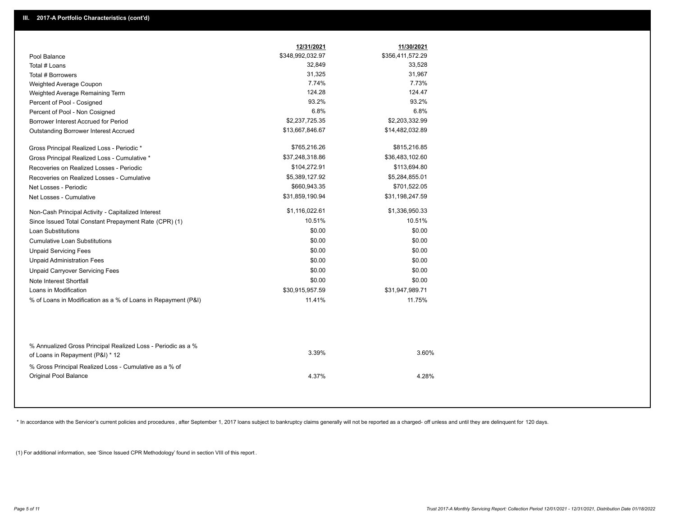|                                                                                                  | 12/31/2021<br>\$348,992,032.97 | 11/30/2021<br>\$356,411,572.29 |
|--------------------------------------------------------------------------------------------------|--------------------------------|--------------------------------|
| Pool Balance<br>Total # Loans                                                                    | 32,849                         | 33,528                         |
| Total # Borrowers                                                                                | 31,325                         | 31,967                         |
|                                                                                                  | 7.74%                          | 7.73%                          |
| Weighted Average Coupon<br>Weighted Average Remaining Term                                       | 124.28                         | 124.47                         |
| Percent of Pool - Cosigned                                                                       | 93.2%                          | 93.2%                          |
|                                                                                                  | 6.8%                           | 6.8%                           |
| Percent of Pool - Non Cosigned<br>Borrower Interest Accrued for Period                           | \$2,237,725.35                 | \$2,203,332.99                 |
| Outstanding Borrower Interest Accrued                                                            | \$13,667,846.67                | \$14,482,032.89                |
| Gross Principal Realized Loss - Periodic *                                                       | \$765,216.26                   | \$815,216.85                   |
| Gross Principal Realized Loss - Cumulative *                                                     | \$37,248,318.86                | \$36,483,102.60                |
| Recoveries on Realized Losses - Periodic                                                         | \$104,272.91                   | \$113,694.80                   |
| Recoveries on Realized Losses - Cumulative                                                       | \$5,389,127.92                 | \$5,284,855.01                 |
| Net Losses - Periodic                                                                            | \$660,943.35                   | \$701,522.05                   |
| Net Losses - Cumulative                                                                          | \$31,859,190.94                | \$31,198,247.59                |
| Non-Cash Principal Activity - Capitalized Interest                                               | \$1,116,022.61                 | \$1,336,950.33                 |
| Since Issued Total Constant Prepayment Rate (CPR) (1)                                            | 10.51%                         | 10.51%                         |
| <b>Loan Substitutions</b>                                                                        | \$0.00                         | \$0.00                         |
| <b>Cumulative Loan Substitutions</b>                                                             | \$0.00                         | \$0.00                         |
| <b>Unpaid Servicing Fees</b>                                                                     | \$0.00                         | \$0.00                         |
| <b>Unpaid Administration Fees</b>                                                                | \$0.00                         | \$0.00                         |
| <b>Unpaid Carryover Servicing Fees</b>                                                           | \$0.00                         | \$0.00                         |
| Note Interest Shortfall                                                                          | \$0.00                         | \$0.00                         |
| Loans in Modification                                                                            | \$30,915,957.59                | \$31,947,989.71                |
| % of Loans in Modification as a % of Loans in Repayment (P&I)                                    | 11.41%                         | 11.75%                         |
|                                                                                                  |                                |                                |
| % Annualized Gross Principal Realized Loss - Periodic as a %<br>of Loans in Repayment (P&I) * 12 | 3.39%                          | 3.60%                          |
| % Gross Principal Realized Loss - Cumulative as a % of<br><b>Original Pool Balance</b>           | 4.37%                          | 4.28%                          |

\* In accordance with the Servicer's current policies and procedures, after September 1, 2017 loans subject to bankruptcy claims generally will not be reported as a charged- off unless and until they are delinquent for 120

(1) For additional information, see 'Since Issued CPR Methodology' found in section VIII of this report .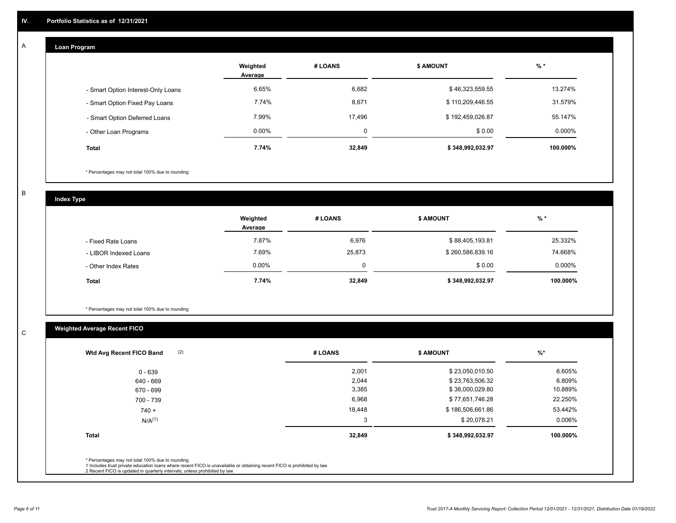#### **Loan Program**  A

|                                    | Weighted<br>Average | # LOANS  | <b>\$ AMOUNT</b> | $%$ *    |
|------------------------------------|---------------------|----------|------------------|----------|
| - Smart Option Interest-Only Loans | 6.65%               | 6,682    | \$46,323,559.55  | 13.274%  |
| - Smart Option Fixed Pay Loans     | 7.74%               | 8,671    | \$110,209,446.55 | 31.579%  |
| - Smart Option Deferred Loans      | 7.99%               | 17.496   | \$192,459,026.87 | 55.147%  |
| - Other Loan Programs              | $0.00\%$            | $\Omega$ | \$0.00           | 0.000%   |
| <b>Total</b>                       | 7.74%               | 32,849   | \$348,992,032.97 | 100.000% |

\* Percentages may not total 100% due to rounding

B

C

**Index Type**

|                       | Weighted<br>Average | # LOANS | <b>\$ AMOUNT</b> | $%$ *     |
|-----------------------|---------------------|---------|------------------|-----------|
| - Fixed Rate Loans    | 7.87%               | 6,976   | \$88,405,193.81  | 25.332%   |
| - LIBOR Indexed Loans | 7.69%               | 25,873  | \$260,586,839.16 | 74.668%   |
| - Other Index Rates   | $0.00\%$            | 0       | \$0.00           | $0.000\%$ |
| Total                 | 7.74%               | 32,849  | \$348,992,032.97 | 100.000%  |

\* Percentages may not total 100% due to rounding

# **Weighted Average Recent FICO**

| (2)<br>Wtd Avg Recent FICO Band | # LOANS | <b>\$ AMOUNT</b> | $%$ *    |
|---------------------------------|---------|------------------|----------|
| $0 - 639$                       | 2,001   | \$23,050,010.50  | 6.605%   |
| 640 - 669                       | 2,044   | \$23,763,506.32  | 6.809%   |
| 670 - 699                       | 3,385   | \$38,000,029.80  | 10.889%  |
| 700 - 739                       | 6,968   | \$77,651,746.28  | 22.250%  |
| $740 +$                         | 18,448  | \$186,506,661.86 | 53.442%  |
| $N/A^{(1)}$                     | 3       | \$20,078.21      | 0.006%   |
| <b>Total</b>                    | 32,849  | \$348,992,032.97 | 100.000% |
|                                 |         |                  |          |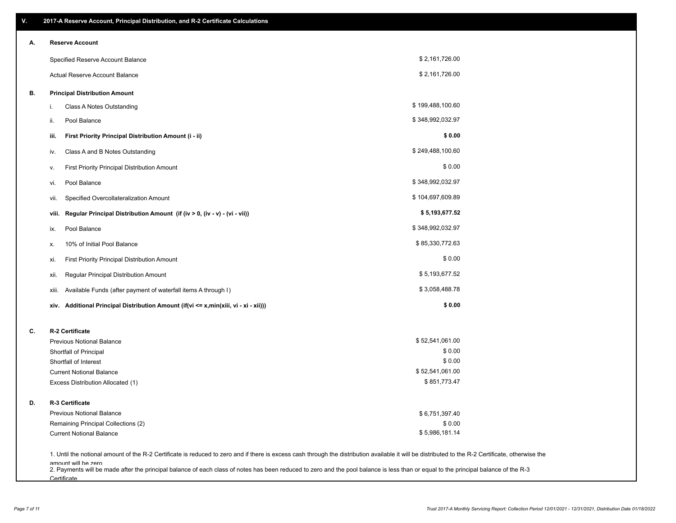| V. | 2017-A Reserve Account, Principal Distribution, and R-2 Certificate Calculations                                                                                                                                          |                  |  |
|----|---------------------------------------------------------------------------------------------------------------------------------------------------------------------------------------------------------------------------|------------------|--|
| А. | <b>Reserve Account</b>                                                                                                                                                                                                    |                  |  |
|    | Specified Reserve Account Balance                                                                                                                                                                                         | \$2,161,726.00   |  |
|    | Actual Reserve Account Balance                                                                                                                                                                                            | \$2,161,726.00   |  |
| В. | <b>Principal Distribution Amount</b>                                                                                                                                                                                      |                  |  |
|    | Class A Notes Outstanding<br>i.                                                                                                                                                                                           | \$199,488,100.60 |  |
|    | Pool Balance<br>ii.                                                                                                                                                                                                       | \$348,992,032.97 |  |
|    | First Priority Principal Distribution Amount (i - ii)<br>iii.                                                                                                                                                             | \$0.00           |  |
|    | Class A and B Notes Outstanding<br>iv.                                                                                                                                                                                    | \$249,488,100.60 |  |
|    | First Priority Principal Distribution Amount<br>۷.                                                                                                                                                                        | \$0.00           |  |
|    | Pool Balance<br>vi.                                                                                                                                                                                                       | \$348,992,032.97 |  |
|    | Specified Overcollateralization Amount<br>vii.                                                                                                                                                                            | \$104,697,609.89 |  |
|    | Regular Principal Distribution Amount (if (iv > 0, (iv - v) - (vi - vii))<br>viii.                                                                                                                                        | \$5,193,677.52   |  |
|    | Pool Balance<br>ix.                                                                                                                                                                                                       | \$348,992,032.97 |  |
|    | 10% of Initial Pool Balance<br>х.                                                                                                                                                                                         | \$85,330,772.63  |  |
|    | First Priority Principal Distribution Amount<br>xi.                                                                                                                                                                       | \$0.00           |  |
|    | Regular Principal Distribution Amount<br>xii.                                                                                                                                                                             | \$5,193,677.52   |  |
|    | Available Funds (after payment of waterfall items A through I)<br>xiii.                                                                                                                                                   | \$3,058,488.78   |  |
|    | xiv. Additional Principal Distribution Amount (if(vi <= x,min(xiii, vi - xi - xii)))                                                                                                                                      | \$0.00           |  |
| C. | R-2 Certificate                                                                                                                                                                                                           |                  |  |
|    | <b>Previous Notional Balance</b>                                                                                                                                                                                          | \$52,541,061.00  |  |
|    | Shortfall of Principal                                                                                                                                                                                                    | \$0.00           |  |
|    | Shortfall of Interest                                                                                                                                                                                                     | \$0.00           |  |
|    | <b>Current Notional Balance</b>                                                                                                                                                                                           | \$52,541,061.00  |  |
|    | Excess Distribution Allocated (1)                                                                                                                                                                                         | \$851,773.47     |  |
| D. | R-3 Certificate                                                                                                                                                                                                           |                  |  |
|    | <b>Previous Notional Balance</b>                                                                                                                                                                                          | \$6,751,397.40   |  |
|    | Remaining Principal Collections (2)                                                                                                                                                                                       | \$0.00           |  |
|    | <b>Current Notional Balance</b>                                                                                                                                                                                           | \$5,986,181.14   |  |
|    | 1. Until the notional amount of the R-2 Certificate is reduced to zero and if there is excess cash through the distribution available it will be distributed to the R-2 Certificate, otherwise the<br>amount will be zero |                  |  |

amount will be zero<br>2. Payments will be made after the principal balance of each class of notes has been reduced to zero and the pool balance is less than or equal to the principal balance of the R-3 **Certificate**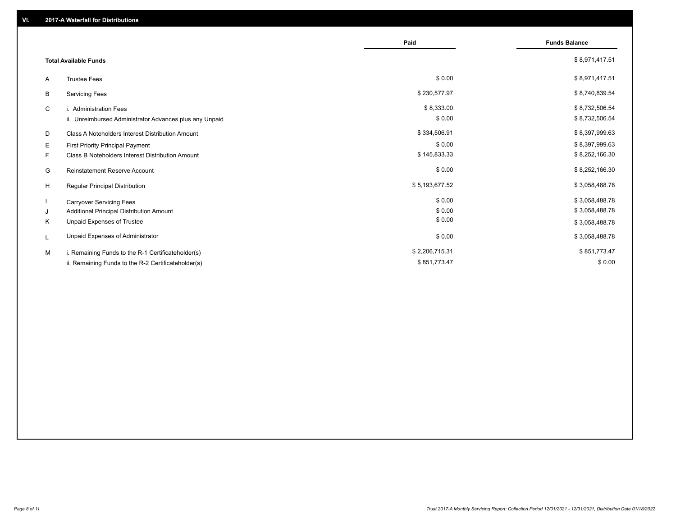|    |                                                         | Paid           | <b>Funds Balance</b> |
|----|---------------------------------------------------------|----------------|----------------------|
|    | <b>Total Available Funds</b>                            |                | \$8,971,417.51       |
| A  | <b>Trustee Fees</b>                                     | \$0.00         | \$8,971,417.51       |
| В  | <b>Servicing Fees</b>                                   | \$230,577.97   | \$8,740,839.54       |
| C  | i. Administration Fees                                  | \$8,333.00     | \$8,732,506.54       |
|    | ii. Unreimbursed Administrator Advances plus any Unpaid | \$0.00         | \$8,732,506.54       |
| D  | Class A Noteholders Interest Distribution Amount        | \$334,506.91   | \$8,397,999.63       |
| E  | <b>First Priority Principal Payment</b>                 | \$0.00         | \$8,397,999.63       |
| F. | Class B Noteholders Interest Distribution Amount        | \$145,833.33   | \$8,252,166.30       |
| G  | <b>Reinstatement Reserve Account</b>                    | \$0.00         | \$8,252,166.30       |
| H  | Regular Principal Distribution                          | \$5,193,677.52 | \$3,058,488.78       |
|    | <b>Carryover Servicing Fees</b>                         | \$0.00         | \$3,058,488.78       |
| J  | Additional Principal Distribution Amount                | \$0.00         | \$3,058,488.78       |
| Κ  | Unpaid Expenses of Trustee                              | \$0.00         | \$3,058,488.78       |
| L  | Unpaid Expenses of Administrator                        | \$0.00         | \$3,058,488.78       |
| M  | i. Remaining Funds to the R-1 Certificateholder(s)      | \$2,206,715.31 | \$851,773.47         |
|    | ii. Remaining Funds to the R-2 Certificateholder(s)     | \$851,773.47   | \$0.00               |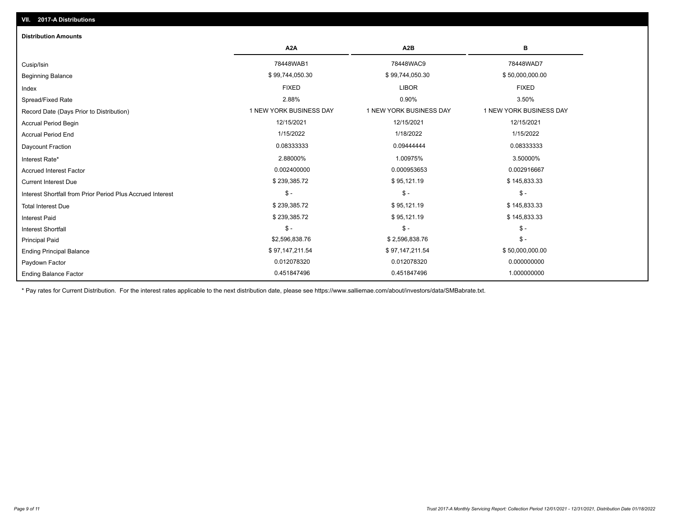| <b>Distribution Amounts</b>                                |                         |                         |                         |
|------------------------------------------------------------|-------------------------|-------------------------|-------------------------|
|                                                            | A <sub>2</sub> A        | A <sub>2</sub> B        | в                       |
| Cusip/Isin                                                 | 78448WAB1               | 78448WAC9               | 78448WAD7               |
| <b>Beginning Balance</b>                                   | \$99,744,050.30         | \$99,744,050.30         | \$50,000,000.00         |
| Index                                                      | <b>FIXED</b>            | <b>LIBOR</b>            | <b>FIXED</b>            |
| Spread/Fixed Rate                                          | 2.88%                   | 0.90%                   | 3.50%                   |
| Record Date (Days Prior to Distribution)                   | 1 NEW YORK BUSINESS DAY | 1 NEW YORK BUSINESS DAY | 1 NEW YORK BUSINESS DAY |
| Accrual Period Begin                                       | 12/15/2021              | 12/15/2021              | 12/15/2021              |
| <b>Accrual Period End</b>                                  | 1/15/2022               | 1/18/2022               | 1/15/2022               |
| Daycount Fraction                                          | 0.08333333              | 0.09444444              | 0.08333333              |
| Interest Rate*                                             | 2.88000%                | 1.00975%                | 3.50000%                |
| <b>Accrued Interest Factor</b>                             | 0.002400000             | 0.000953653             | 0.002916667             |
| <b>Current Interest Due</b>                                | \$239,385.72            | \$95,121.19             | \$145,833.33            |
| Interest Shortfall from Prior Period Plus Accrued Interest | $\mathsf{\$}$ -         | $$ -$                   | $\mathsf{\$}$ -         |
| <b>Total Interest Due</b>                                  | \$239,385.72            | \$95,121.19             | \$145,833.33            |
| <b>Interest Paid</b>                                       | \$239,385.72            | \$95,121.19             | \$145,833.33            |
| <b>Interest Shortfall</b>                                  | $\mathsf{\$}$ -         | $\mathsf{\$}$ -         | $\mathsf{\$}$ -         |
| <b>Principal Paid</b>                                      | \$2,596,838.76          | \$2,596,838.76          | $\mathsf{\$}$ -         |
| <b>Ending Principal Balance</b>                            | \$97,147,211.54         | \$97,147,211.54         | \$50,000,000.00         |
| Paydown Factor                                             | 0.012078320             | 0.012078320             | 0.000000000             |
| <b>Ending Balance Factor</b>                               | 0.451847496             | 0.451847496             | 1.000000000             |

\* Pay rates for Current Distribution. For the interest rates applicable to the next distribution date, please see https://www.salliemae.com/about/investors/data/SMBabrate.txt.

**VII. 2017-A Distributions**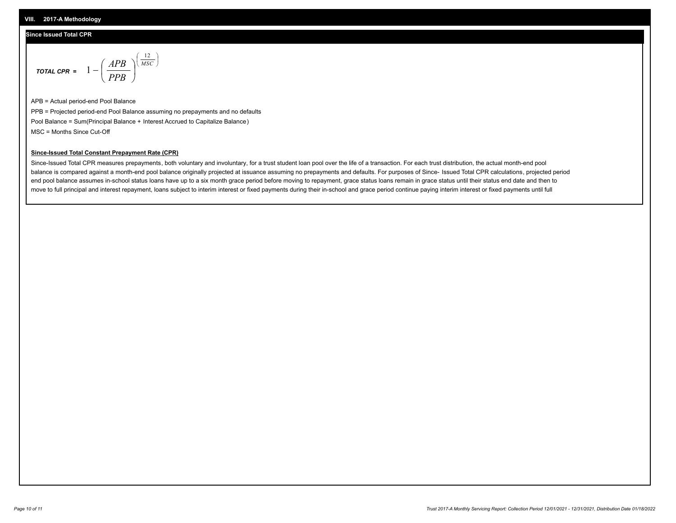### **Since Issued Total CPR**

$$
\text{total CPR} = 1 - \left(\frac{APB}{PPB}\right)^{\left(\frac{12}{MSC}\right)}
$$

APB = Actual period-end Pool Balance PPB = Projected period-end Pool Balance assuming no prepayments and no defaults Pool Balance = Sum(Principal Balance + Interest Accrued to Capitalize Balance) MSC = Months Since Cut-Off

I J Ι

#### **Since-Issued Total Constant Prepayment Rate (CPR)**

Since-Issued Total CPR measures prepayments, both voluntary and involuntary, for a trust student loan pool over the life of a transaction. For each trust distribution, the actual month-end pool balance is compared against a month-end pool balance originally projected at issuance assuming no prepayments and defaults. For purposes of Since- Issued Total CPR calculations, projected period end pool balance assumes in-school status loans have up to a six month grace period before moving to repayment, grace status loans remain in grace status until their status end date and then to move to full principal and interest repayment, loans subject to interim interest or fixed payments during their in-school and grace period continue paying interim interest or fixed payments until full